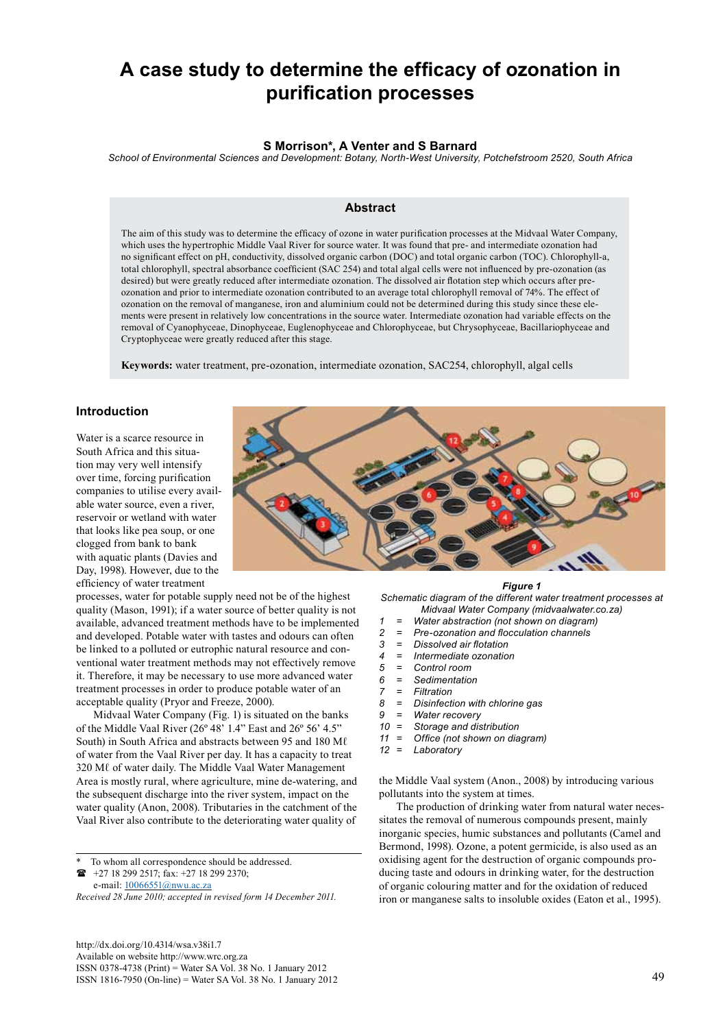# **A case study to determine the efficacy of ozonation in purification processes**

## **S Morrison\*, A Venter and S Barnard**

*School of Environmental Sciences and Development: Botany, North-West University, Potchefstroom 2520, South Africa*

## **Abstract**

The aim of this study was to determine the efficacy of ozone in water purification processes at the Midvaal Water Company, which uses the hypertrophic Middle Vaal River for source water. It was found that pre- and intermediate ozonation had no significant effect on pH, conductivity, dissolved organic carbon (DOC) and total organic carbon (TOC). Chlorophyll-a, total chlorophyll, spectral absorbance coefficient (SAC 254) and total algal cells were not influenced by pre-ozonation (as desired) but were greatly reduced after intermediate ozonation. The dissolved air flotation step which occurs after preozonation and prior to intermediate ozonation contributed to an average total chlorophyll removal of 74%. The effect of ozonation on the removal of manganese, iron and aluminium could not be determined during this study since these elements were present in relatively low concentrations in the source water. Intermediate ozonation had variable effects on the removal of Cyanophyceae, Dinophyceae, Euglenophyceae and Chlorophyceae, but Chrysophyceae, Bacillariophyceae and Cryptophyceae were greatly reduced after this stage.

**Keywords:** water treatment, pre-ozonation, intermediate ozonation, SAC254, chlorophyll, algal cells

## **Introduction**

Water is a scarce resource in South Africa and this situation may very well intensify over time, forcing purification companies to utilise every available water source, even a river, reservoir or wetland with water that looks like pea soup, or one clogged from bank to bank with aquatic plants (Davies and Day, 1998). However, due to the efficiency of water treatment

processes, water for potable supply need not be of the highest quality (Mason, 1991); if a water source of better quality is not available, advanced treatment methods have to be implemented and developed. Potable water with tastes and odours can often be linked to a polluted or eutrophic natural resource and conventional water treatment methods may not effectively remove it. Therefore, it may be necessary to use more advanced water treatment processes in order to produce potable water of an acceptable quality (Pryor and Freeze, 2000).

Midvaal Water Company (Fig. 1) is situated on the banks of the Middle Vaal River (26º 48' 1.4" East and 26º 56' 4.5" South) in South Africa and abstracts between 95 and 180 M $\ell$ of water from the Vaal River per day. It has a capacity to treat 320 Mℓ of water daily. The Middle Vaal Water Management Area is mostly rural, where agriculture, mine de-watering, and the subsequent discharge into the river system, impact on the water quality (Anon, 2008). Tributaries in the catchment of the Vaal River also contribute to the deteriorating water quality of

To whom all correspondence should be addressed.

 +27 18 299 2517; fax: +27 18 299 2370; e-mail: 10066551@nwu.ac.za

*Received 28 June 2010; accepted in revised form 14 December 2011.*

http://dx.doi.org/10.4314/wsa.v38i1.7 Available on website http://www.wrc.org.za ISSN 0378-4738 (Print) = Water SA Vol. 38 No. 1 January 2012 ISSN 1816-7950 (On-line) = Water SA Vol. 38 No. 1 January 2012 49

#### *Figure 1*

*Schematic diagram of the different water treatment processes at Midvaal Water Company (midvaalwater.co.za)*

- 
- *1 = Water abstraction (not shown on diagram) 2 = Pre-ozonation and flocculation channels*
- *3 = Dissolved air flotation*
- *4 = Intermediate ozonation*
- 
- *5 = Control room 6 = Sedimentation*
- 
- *7 = Filtration 8 = Disinfection with chlorine gas*
- 
- *9 = Water recovery Storage and distribution*
- *11 = Office (not shown on diagram)*
- *12 = Laboratory*

the Middle Vaal system (Anon., 2008) by introducing various pollutants into the system at times.

The production of drinking water from natural water necessitates the removal of numerous compounds present, mainly inorganic species, humic substances and pollutants (Camel and Bermond, 1998). Ozone, a potent germicide, is also used as an oxidising agent for the destruction of organic compounds producing taste and odours in drinking water, for the destruction of organic colouring matter and for the oxidation of reduced iron or manganese salts to insoluble oxides (Eaton et al., 1995).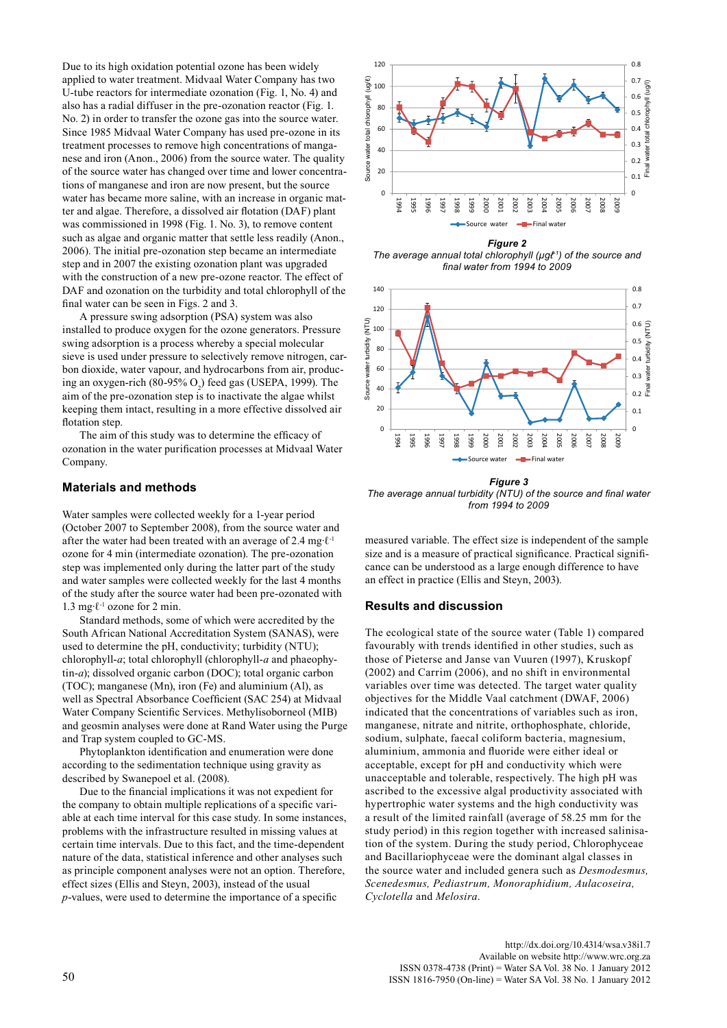Due to its high oxidation potential ozone has been widely applied to water treatment. Midvaal Water Company has two U-tube reactors for intermediate ozonation (Fig. 1, No. 4) and also has a radial diffuser in the pre-ozonation reactor (Fig. 1. No. 2) in order to transfer the ozone gas into the source water. Since 1985 Midvaal Water Company has used pre-ozone in its treatment processes to remove high concentrations of manganese and iron (Anon., 2006) from the source water. The quality of the source water has changed over time and lower concentrations of manganese and iron are now present, but the source water has became more saline, with an increase in organic matter and algae. Therefore, a dissolved air flotation (DAF) plant was commissioned in 1998 (Fig. 1. No. 3), to remove content such as algae and organic matter that settle less readily (Anon., 2006). The initial pre-ozonation step became an intermediate step and in 2007 the existing ozonation plant was upgraded with the construction of a new pre-ozone reactor. The effect of DAF and ozonation on the turbidity and total chlorophyll of the final water can be seen in Figs. 2 and 3.

A pressure swing adsorption (PSA) system was also installed to produce oxygen for the ozone generators. Pressure swing adsorption is a process whereby a special molecular sieve is used under pressure to selectively remove nitrogen, carbon dioxide, water vapour, and hydrocarbons from air, producing an oxygen-rich (80-95%  $O_2$ ) feed gas (USEPA, 1999). The aim of the pre-ozonation step is to inactivate the algae whilst keeping them intact, resulting in a more effective dissolved air flotation step.

The aim of this study was to determine the efficacy of ozonation in the water purification processes at Midvaal Water Company.

## **Materials and methods**

Water samples were collected weekly for a 1-year period (October 2007 to September 2008), from the source water and after the water had been treated with an average of 2.4 mg∙ℓ-1 ozone for 4 min (intermediate ozonation). The pre-ozonation step was implemented only during the latter part of the study and water samples were collected weekly for the last 4 months of the study after the source water had been pre-ozonated with 1.3 mg∙ℓ-1 ozone for 2 min.

Standard methods, some of which were accredited by the South African National Accreditation System (SANAS), were used to determine the pH, conductivity; turbidity (NTU); chlorophyll-*a*; total chlorophyll (chlorophyll-*a* and phaeophytin-*a*); dissolved organic carbon (DOC); total organic carbon (TOC); manganese (Mn), iron (Fe) and aluminium (Al), as well as Spectral Absorbance Coefficient (SAC 254) at Midvaal Water Company Scientific Services. Methylisoborneol (MIB) and geosmin analyses were done at Rand Water using the Purge and Trap system coupled to GC-MS.

Phytoplankton identification and enumeration were done according to the sedimentation technique using gravity as described by Swanepoel et al. (2008).

Due to the financial implications it was not expedient for the company to obtain multiple replications of a specific variable at each time interval for this case study. In some instances, problems with the infrastructure resulted in missing values at certain time intervals. Due to this fact, and the time-dependent nature of the data, statistical inference and other analyses such as principle component analyses were not an option. Therefore, effect sizes (Ellis and Steyn, 2003), instead of the usual *p*-values, were used to determine the importance of a specific



*The average annual total chlorophyll (µgℓ-1) of the source and final water from 1994 to 2009*



*Figure 3 The average annual turbidity (NTU) of the source and final water from 1994 to 2009*

measured variable. The effect size is independent of the sample size and is a measure of practical significance. Practical significance can be understood as a large enough difference to have an effect in practice (Ellis and Steyn, 2003).

#### **Results and discussion**

The ecological state of the source water (Table 1) compared favourably with trends identified in other studies, such as those of Pieterse and Janse van Vuuren (1997), Kruskopf (2002) and Carrim (2006), and no shift in environmental variables over time was detected. The target water quality objectives for the Middle Vaal catchment (DWAF, 2006) indicated that the concentrations of variables such as iron, manganese, nitrate and nitrite, orthophosphate, chloride, sodium, sulphate, faecal coliform bacteria, magnesium, aluminium, ammonia and fluoride were either ideal or acceptable, except for pH and conductivity which were unacceptable and tolerable, respectively. The high pH was ascribed to the excessive algal productivity associated with hypertrophic water systems and the high conductivity was a result of the limited rainfall (average of 58.25 mm for the study period) in this region together with increased salinisation of the system. During the study period, Chlorophyceae and Bacillariophyceae were the dominant algal classes in the source water and included genera such as *Desmodesmus, Scenedesmus, Pediastrum, Monoraphidium, Aulacoseira, Cyclotella* and *Melosira*.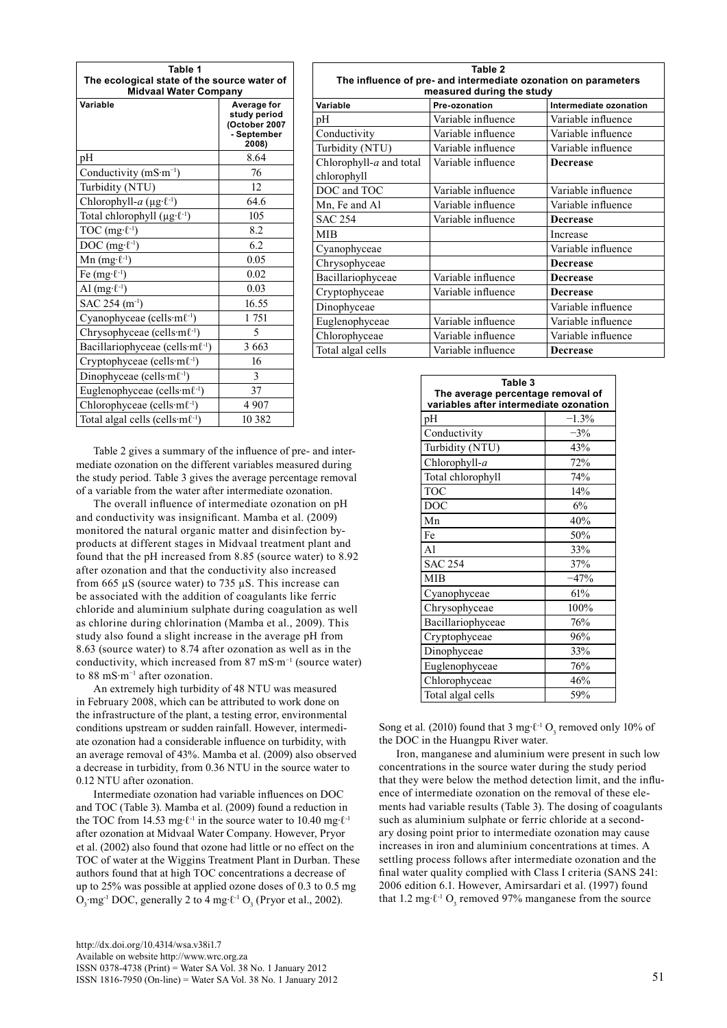| Table 1<br>The ecological state of the source water of<br><b>Midvaal Water Company</b> |                                                                      |  |
|----------------------------------------------------------------------------------------|----------------------------------------------------------------------|--|
| Variable                                                                               | Average for<br>study period<br>(October 2007<br>- September<br>2008) |  |
| pН                                                                                     | 8.64                                                                 |  |
| Conductivity $(mS·m^{-1})$                                                             | 76                                                                   |  |
| Turbidity (NTU)                                                                        | 12                                                                   |  |
| Chlorophyll-a ( $\mu$ g· $\ell$ <sup>-1</sup> )                                        | 64.6                                                                 |  |
| Total chlorophyll $(\mu g \cdot \ell^{-1})$                                            | 105                                                                  |  |
| TOC $(mg \cdot \ell^{-1})$                                                             | 8.2                                                                  |  |
| DOC $(mg \cdot \ell^{-1})$                                                             | 6.2                                                                  |  |
| Mn $(mg \cdot \ell^{-1})$                                                              | 0.05                                                                 |  |
| Fe $(mg \cdot \ell^{-1})$                                                              | 0.02                                                                 |  |
| Al $(mg \cdot \ell^{-1})$                                                              | 0.03                                                                 |  |
| SAC 254 $(m^{-1})$                                                                     | 16.55                                                                |  |
| Cyanophyceae (cells·ml <sup>-1</sup> )                                                 | 1751                                                                 |  |
| Chrysophyceae (cells·m $\ell$ <sup>-1</sup> )                                          | 5                                                                    |  |
| Bacillariophyceae (cells·ml <sup>-1</sup> )                                            | 3 6 6 3                                                              |  |
| Cryptophyceae (cells·m $\ell$ <sup>-1</sup> )                                          | 16                                                                   |  |
| Dinophyceae (cells $\cdot$ m $\ell$ <sup>-1</sup> )                                    | 3                                                                    |  |
| Euglenophyceae (cells $\cdot$ m $\ell$ <sup>-1</sup> )                                 | 37                                                                   |  |
| Chlorophyceae (cells·m $\ell$ <sup>-1</sup> )                                          | 4 9 0 7                                                              |  |
| Total algal cells (cells·m $\ell$ <sup>-1</sup> )                                      | 10 3 8 2                                                             |  |

| Table 2<br>The influence of pre- and intermediate ozonation on parameters<br>measured during the study |                    |                        |  |  |
|--------------------------------------------------------------------------------------------------------|--------------------|------------------------|--|--|
| Variable                                                                                               | Pre-ozonation      | Intermediate ozonation |  |  |
| pН                                                                                                     | Variable influence | Variable influence     |  |  |
| Conductivity                                                                                           | Variable influence | Variable influence     |  |  |
| Turbidity (NTU)                                                                                        | Variable influence | Variable influence     |  |  |
| Chlorophyll-a and total<br>chlorophyll                                                                 | Variable influence | <b>Decrease</b>        |  |  |
| DOC and TOC                                                                                            | Variable influence | Variable influence     |  |  |
| Mn, Fe and Al                                                                                          | Variable influence | Variable influence     |  |  |
| <b>SAC 254</b>                                                                                         | Variable influence | <b>Decrease</b>        |  |  |
| MIB                                                                                                    |                    | Increase               |  |  |
| Cyanophyceae                                                                                           |                    | Variable influence     |  |  |
| Chrysophyceae                                                                                          |                    | <b>Decrease</b>        |  |  |
| Bacillariophyceae                                                                                      | Variable influence | <b>Decrease</b>        |  |  |
| Cryptophyceae                                                                                          | Variable influence | <b>Decrease</b>        |  |  |
| Dinophyceae                                                                                            |                    | Variable influence     |  |  |
| Euglenophyceae                                                                                         | Variable influence | Variable influence     |  |  |
| Chlorophyceae                                                                                          | Variable influence | Variable influence     |  |  |
| Total algal cells                                                                                      | Variable influence | <b>Decrease</b>        |  |  |

Table 2 gives a summary of the influence of pre- and intermediate ozonation on the different variables measured during the study period. Table 3 gives the average percentage removal of a variable from the water after intermediate ozonation.

The overall influence of intermediate ozonation on pH and conductivity was insignificant. Mamba et al. (2009) monitored the natural organic matter and disinfection byproducts at different stages in Midvaal treatment plant and found that the pH increased from 8.85 (source water) to 8.92 after ozonation and that the conductivity also increased from 665 µS (source water) to 735 µS. This increase can be associated with the addition of coagulants like ferric chloride and aluminium sulphate during coagulation as well as chlorine during chlorination (Mamba et al., 2009). This study also found a slight increase in the average pH from 8.63 (source water) to 8.74 after ozonation as well as in the conductivity, which increased from 87 mS∙m−1 (source water) to 88 mS∙m−1 after ozonation.

An extremely high turbidity of 48 NTU was measured in February 2008, which can be attributed to work done on the infrastructure of the plant, a testing error, environmental conditions upstream or sudden rainfall. However, intermediate ozonation had a considerable influence on turbidity, with an average removal of 43%. Mamba et al. (2009) also observed a decrease in turbidity, from 0.36 NTU in the source water to 0.12 NTU after ozonation.

Intermediate ozonation had variable influences on DOC and TOC (Table 3). Mamba et al. (2009) found a reduction in the TOC from 14.53 mg⋅ $\ell$ <sup>-1</sup> in the source water to 10.40 mg⋅ $\ell$ <sup>-1</sup> after ozonation at Midvaal Water Company. However, Pryor et al. (2002) also found that ozone had little or no effect on the TOC of water at the Wiggins Treatment Plant in Durban. These authors found that at high TOC concentrations a decrease of up to 25% was possible at applied ozone doses of 0.3 to 0.5 mg  $O_3$ ·mg<sup>-1</sup> DOC, generally 2 to 4 mg⋅ $\ell$ <sup>-1</sup>  $O_3$  (Pryor et al., 2002).

| The average percentage removal of<br>variables after intermediate ozonation |         |  |
|-----------------------------------------------------------------------------|---------|--|
| pH                                                                          | $-1.3%$ |  |
| Conductivity                                                                | $-3%$   |  |
| Turbidity (NTU)                                                             | 43%     |  |
| Chlorophyll-a                                                               | 72%     |  |
| Total chlorophyll                                                           | 74%     |  |
| <b>TOC</b>                                                                  | 14%     |  |
| DOC                                                                         | 6%      |  |
| Mn                                                                          | 40%     |  |
| Fe                                                                          | 50%     |  |
| A <sub>1</sub>                                                              | 33%     |  |
| <b>SAC 254</b>                                                              | 37%     |  |
| <b>MIB</b>                                                                  | $-47%$  |  |
| Cyanophyceae                                                                | 61%     |  |
| Chrysophyceae                                                               | 100%    |  |
| Bacillariophyceae                                                           | 76%     |  |
| Cryptophyceae                                                               | 96%     |  |
| Dinophyceae                                                                 | 33%     |  |
| Euglenophyceae                                                              | 76%     |  |
| Chlorophyceae                                                               | 46%     |  |
| Total algal cells                                                           | 59%     |  |

**Table 3**

Song et al. (2010) found that 3 mg⋅ $\ell$ <sup>-1</sup> O<sub>3</sub> removed only 10% of the DOC in the Huangpu River water.

Iron, manganese and aluminium were present in such low concentrations in the source water during the study period that they were below the method detection limit, and the influence of intermediate ozonation on the removal of these elements had variable results (Table 3). The dosing of coagulants such as aluminium sulphate or ferric chloride at a secondary dosing point prior to intermediate ozonation may cause increases in iron and aluminium concentrations at times. A settling process follows after intermediate ozonation and the final water quality complied with Class I criteria (SANS 241: 2006 edition 6.1. However, Amirsardari et al. (1997) found that 1.2 mg⋅ $\ell$ <sup>-1</sup> O<sub>3</sub> removed 97% manganese from the source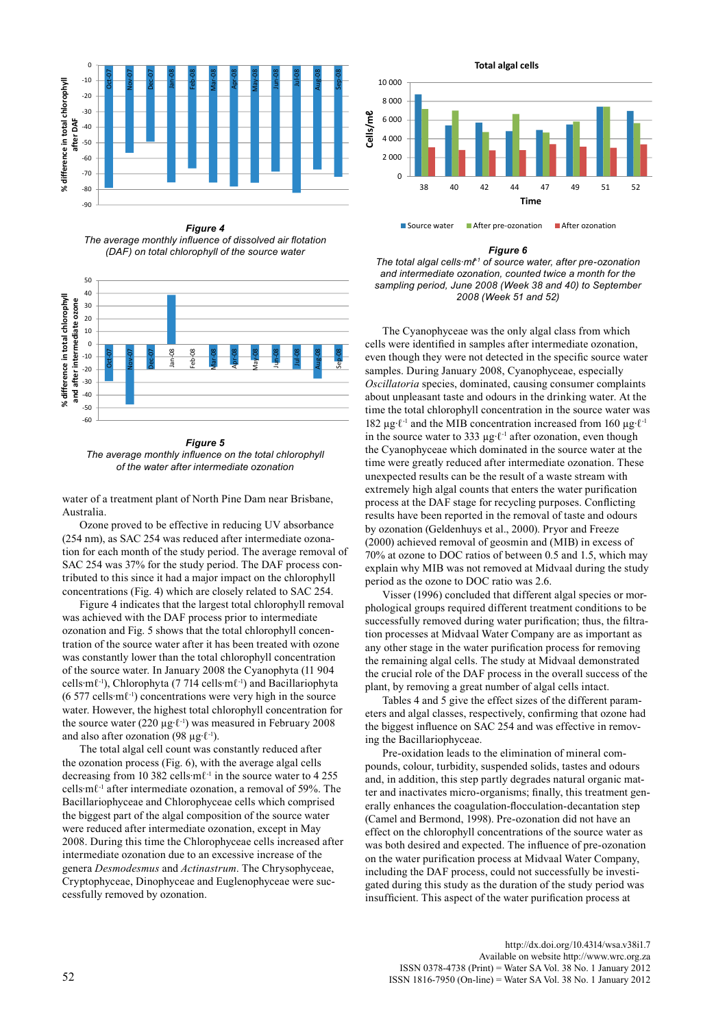

*Figure 4 The average monthly influence of dissolved air flotation (DAF) on total chlorophyll of the source water*



*Figure 5 The average monthly influence on the total chlorophyll of the water after intermediate ozonation*

water of a treatment plant of North Pine Dam near Brisbane, Australia.

Ozone proved to be effective in reducing UV absorbance (254 nm), as SAC 254 was reduced after intermediate ozonation for each month of the study period. The average removal of SAC 254 was 37% for the study period. The DAF process contributed to this since it had a major impact on the chlorophyll concentrations (Fig. 4) which are closely related to SAC 254.

Figure 4 indicates that the largest total chlorophyll removal was achieved with the DAF process prior to intermediate ozonation and Fig. 5 shows that the total chlorophyll concentration of the source water after it has been treated with ozone was constantly lower than the total chlorophyll concentration of the source water. In January 2008 the Cyanophyta (11 904 cells∙mℓ-1), Chlorophyta (7 714 cells∙mℓ-1) and Bacillariophyta (6 577 cells∙mℓ-1) concentrations were very high in the source water. However, the highest total chlorophyll concentration for the source water (220 µg∙ℓ-1) was measured in February 2008 and also after ozonation (98  $\mu$ g⋅ $\ell$ <sup>-1</sup>).

The total algal cell count was constantly reduced after the ozonation process (Fig. 6), with the average algal cells decreasing from 10 382 cells∙mℓ-1 in the source water to 4 255 cells∙mℓ-1 after intermediate ozonation, a removal of 59%. The Bacillariophyceae and Chlorophyceae cells which comprised the biggest part of the algal composition of the source water were reduced after intermediate ozonation, except in May 2008. During this time the Chlorophyceae cells increased after intermediate ozonation due to an excessive increase of the genera *Desmodesmus* and *Actinastrum*. The Chrysophyceae, Cryptophyceae, Dinophyceae and Euglenophyceae were successfully removed by ozonation.



#### *Figure 6*

*The total algal cells∙mℓ-1 of source water, after pre-ozonation and intermediate ozonation, counted twice a month for the sampling period, June 2008 (Week 38 and 40) to September 2008 (Week 51 and 52)*

The Cyanophyceae was the only algal class from which cells were identified in samples after intermediate ozonation, even though they were not detected in the specific source water samples. During January 2008, Cyanophyceae, especially *Oscillatoria* species, dominated, causing consumer complaints about unpleasant taste and odours in the drinking water. At the time the total chlorophyll concentration in the source water was 182 µg∙ℓ-1 and the MIB concentration increased from 160 µg∙ℓ-1 in the source water to 333 µg∙ℓ-1 after ozonation, even though the Cyanophyceae which dominated in the source water at the time were greatly reduced after intermediate ozonation. These unexpected results can be the result of a waste stream with extremely high algal counts that enters the water purification process at the DAF stage for recycling purposes. Conflicting results have been reported in the removal of taste and odours by ozonation (Geldenhuys et al., 2000). Pryor and Freeze (2000) achieved removal of geosmin and (MIB) in excess of 70% at ozone to DOC ratios of between 0.5 and 1.5, which may explain why MIB was not removed at Midvaal during the study period as the ozone to DOC ratio was 2.6.

Visser (1996) concluded that different algal species or morphological groups required different treatment conditions to be successfully removed during water purification; thus, the filtration processes at Midvaal Water Company are as important as any other stage in the water purification process for removing the remaining algal cells. The study at Midvaal demonstrated the crucial role of the DAF process in the overall success of the plant, by removing a great number of algal cells intact.

Tables 4 and 5 give the effect sizes of the different parameters and algal classes, respectively, confirming that ozone had the biggest influence on SAC 254 and was effective in removing the Bacillariophyceae.

Pre-oxidation leads to the elimination of mineral compounds, colour, turbidity, suspended solids, tastes and odours and, in addition, this step partly degrades natural organic matter and inactivates micro-organisms; finally, this treatment generally enhances the coagulation-flocculation-decantation step (Camel and Bermond, 1998). Pre-ozonation did not have an effect on the chlorophyll concentrations of the source water as was both desired and expected. The influence of pre-ozonation on the water purification process at Midvaal Water Company, including the DAF process, could not successfully be investigated during this study as the duration of the study period was insufficient. This aspect of the water purification process at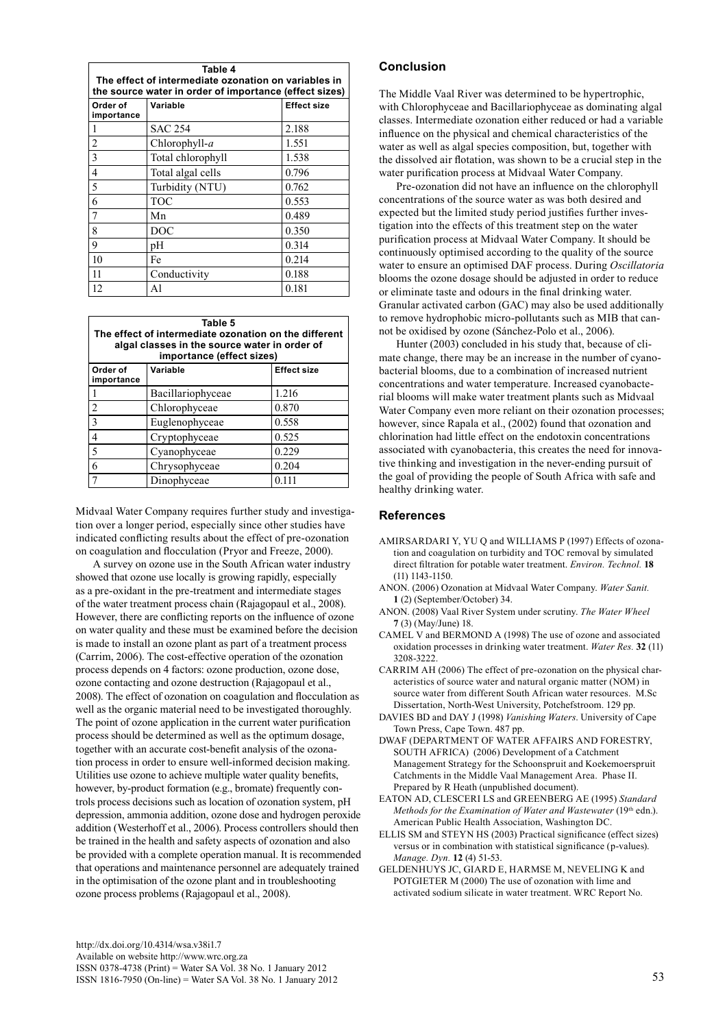| Table 4<br>The effect of intermediate ozonation on variables in<br>the source water in order of importance (effect sizes) |                   |                    |  |  |
|---------------------------------------------------------------------------------------------------------------------------|-------------------|--------------------|--|--|
| Order of<br>importance                                                                                                    | Variable          | <b>Effect size</b> |  |  |
|                                                                                                                           | <b>SAC 254</b>    | 2.188              |  |  |
| $\overline{2}$                                                                                                            | Chlorophyll-a     | 1.551              |  |  |
| 3                                                                                                                         | Total chlorophyll | 1.538              |  |  |
| 4                                                                                                                         | Total algal cells | 0.796              |  |  |
| 5                                                                                                                         | Turbidity (NTU)   | 0.762              |  |  |
| 6                                                                                                                         | TOC               | 0.553              |  |  |
| $\overline{7}$                                                                                                            | Mn                | 0.489              |  |  |
| 8                                                                                                                         | <b>DOC</b>        | 0.350              |  |  |
| 9                                                                                                                         | pH                | 0.314              |  |  |
| 10                                                                                                                        | Fe                | 0.214              |  |  |
| 11                                                                                                                        | Conductivity      | 0.188              |  |  |
| 12                                                                                                                        | Al                | 0.181              |  |  |

| Table 5<br>The effect of intermediate ozonation on the different<br>algal classes in the source water in order of<br>importance (effect sizes) |                   |                    |  |  |
|------------------------------------------------------------------------------------------------------------------------------------------------|-------------------|--------------------|--|--|
| Order of<br>importance                                                                                                                         | Variable          | <b>Effect size</b> |  |  |
|                                                                                                                                                | Bacillariophyceae | 1.216              |  |  |
| $\mathfrak{D}$                                                                                                                                 | Chlorophyceae     | 0.870              |  |  |
| $\mathbf{3}$                                                                                                                                   | Euglenophyceae    | 0.558              |  |  |
|                                                                                                                                                | Cryptophyceae     | 0.525              |  |  |
| 5                                                                                                                                              | Cyanophyceae      | 0.229              |  |  |
| 6                                                                                                                                              | Chrysophyceae     | 0.204              |  |  |
|                                                                                                                                                | Dinophyceae       | 0.111              |  |  |

Midvaal Water Company requires further study and investigation over a longer period, especially since other studies have indicated conflicting results about the effect of pre-ozonation on coagulation and flocculation (Pryor and Freeze, 2000).

A survey on ozone use in the South African water industry showed that ozone use locally is growing rapidly, especially as a pre-oxidant in the pre-treatment and intermediate stages of the water treatment process chain (Rajagopaul et al., 2008). However, there are conflicting reports on the influence of ozone on water quality and these must be examined before the decision is made to install an ozone plant as part of a treatment process (Carrim, 2006). The cost-effective operation of the ozonation process depends on 4 factors: ozone production, ozone dose, ozone contacting and ozone destruction (Rajagopaul et al., 2008). The effect of ozonation on coagulation and flocculation as well as the organic material need to be investigated thoroughly. The point of ozone application in the current water purification process should be determined as well as the optimum dosage, together with an accurate cost-benefit analysis of the ozonation process in order to ensure well-informed decision making. Utilities use ozone to achieve multiple water quality benefits, however, by-product formation (e.g., bromate) frequently controls process decisions such as location of ozonation system, pH depression, ammonia addition, ozone dose and hydrogen peroxide addition (Westerhoff et al., 2006). Process controllers should then be trained in the health and safety aspects of ozonation and also be provided with a complete operation manual. It is recommended that operations and maintenance personnel are adequately trained in the optimisation of the ozone plant and in troubleshooting ozone process problems (Rajagopaul et al., 2008).

The Middle Vaal River was determined to be hypertrophic, with Chlorophyceae and Bacillariophyceae as dominating algal classes. Intermediate ozonation either reduced or had a variable influence on the physical and chemical characteristics of the water as well as algal species composition, but, together with the dissolved air flotation, was shown to be a crucial step in the water purification process at Midvaal Water Company.

Pre-ozonation did not have an influence on the chlorophyll concentrations of the source water as was both desired and expected but the limited study period justifies further investigation into the effects of this treatment step on the water purification process at Midvaal Water Company. It should be continuously optimised according to the quality of the source water to ensure an optimised DAF process. During *Oscillatoria* blooms the ozone dosage should be adjusted in order to reduce or eliminate taste and odours in the final drinking water. Granular activated carbon (GAC) may also be used additionally to remove hydrophobic micro-pollutants such as MIB that cannot be oxidised by ozone (Sánchez-Polo et al., 2006).

Hunter (2003) concluded in his study that, because of climate change, there may be an increase in the number of cyanobacterial blooms, due to a combination of increased nutrient concentrations and water temperature. Increased cyanobacterial blooms will make water treatment plants such as Midvaal Water Company even more reliant on their ozonation processes: however, since Rapala et al., (2002) found that ozonation and chlorination had little effect on the endotoxin concentrations associated with cyanobacteria, this creates the need for innovative thinking and investigation in the never-ending pursuit of the goal of providing the people of South Africa with safe and healthy drinking water.

## **References**

- AMIRSARDARI Y, YU Q and WILLIAMS P (1997) Effects of ozonation and coagulation on turbidity and TOC removal by simulated direct filtration for potable water treatment. *Environ. Technol.* **18** (11) 1143-1150.
- ANON. (2006) Ozonation at Midvaal Water Company. *Water Sanit.* **1** (2) (September/October) 34.
- ANON. (2008) Vaal River System under scrutiny. *The Water Wheel* **7** (3) (May/June) 18.
- CAMEL V and BERMOND A (1998) The use of ozone and associated oxidation processes in drinking water treatment. *Water Res.* **32** (11) 3208-3222.
- CARRIM AH (2006) The effect of pre-ozonation on the physical characteristics of source water and natural organic matter (NOM) in source water from different South African water resources. M.Sc Dissertation, North-West University, Potchefstroom. 129 pp.
- DAVIES BD and DAY J (1998) *Vanishing Waters*. University of Cape Town Press, Cape Town. 487 pp.
- DWAF (DEPARTMENT OF WATER AFFAIRS AND FORESTRY, SOUTH AFRICA) (2006) Development of a Catchment Management Strategy for the Schoonspruit and Koekemoerspruit Catchments in the Middle Vaal Management Area. Phase II. Prepared by R Heath (unpublished document).
- EATON AD, CLESCERI LS and GREENBERG AE (1995) *Standard Methods for the Examination of Water and Wastewater* (19<sup>th</sup> edn.). American Public Health Association, Washington DC.
- ELLIS SM and STEYN HS (2003) Practical significance (effect sizes) versus or in combination with statistical significance (p-values). *Manage. Dyn.* **12** (4) 51-53.
- GELDENHUYS JC, GIARD E, HARMSE M, NEVELING K and POTGIETER M (2000) The use of ozonation with lime and activated sodium silicate in water treatment. WRC Report No.